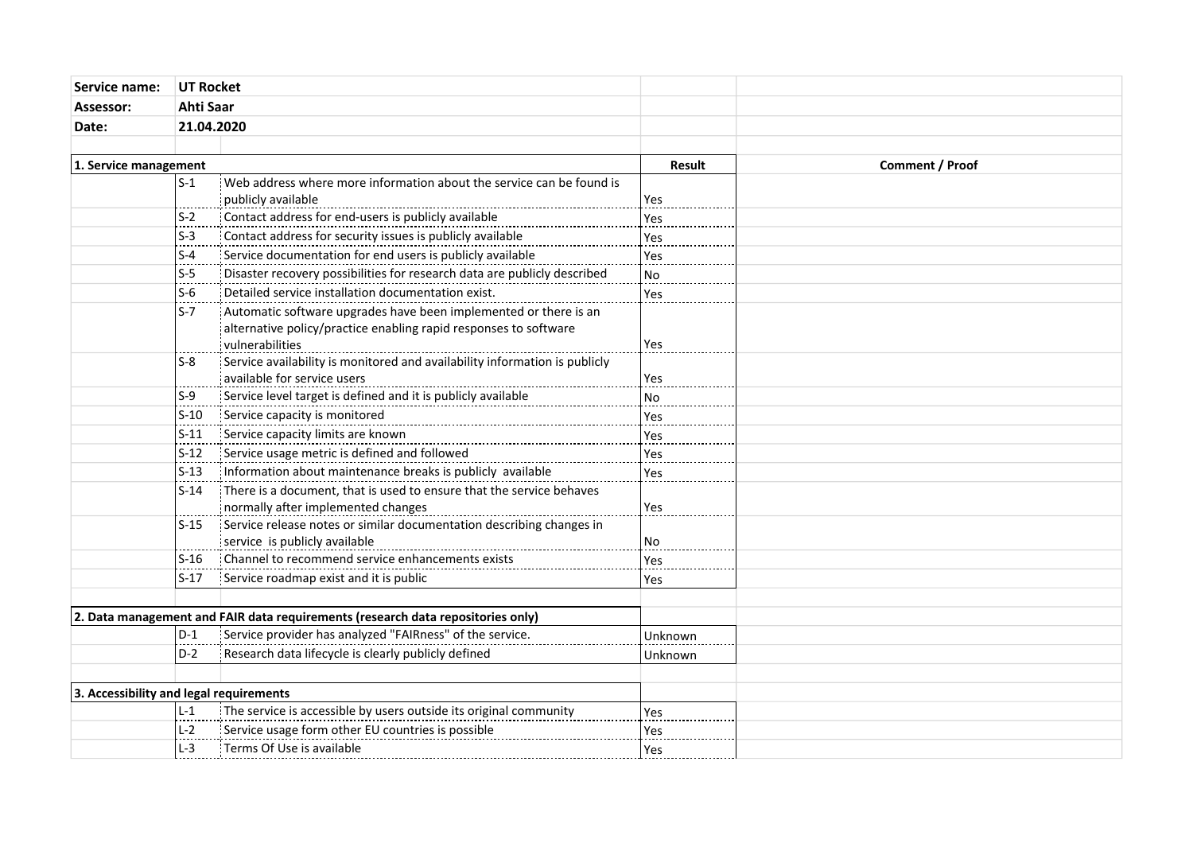| Service name:                           | <b>UT Rocket</b><br>Ahti Saar |                                                                                                                                                         |                 |  |
|-----------------------------------------|-------------------------------|---------------------------------------------------------------------------------------------------------------------------------------------------------|-----------------|--|
| Assessor:                               |                               |                                                                                                                                                         |                 |  |
| Date:                                   | 21.04.2020                    |                                                                                                                                                         |                 |  |
|                                         |                               |                                                                                                                                                         |                 |  |
| 1. Service management                   |                               | Result                                                                                                                                                  | Comment / Proof |  |
|                                         | $S-1$                         | Web address where more information about the service can be found is                                                                                    |                 |  |
|                                         |                               | publicly available                                                                                                                                      | Yes             |  |
|                                         | $S-2$                         | Contact address for end-users is publicly available                                                                                                     | Yes             |  |
|                                         | $S-3$                         | Contact address for security issues is publicly available                                                                                               | Yes             |  |
|                                         | $S-4$                         | Service documentation for end users is publicly available                                                                                               | Yes             |  |
|                                         | $S-5$                         | Example to the covery possibilities for research data are publicly described                                                                            | <b>No</b>       |  |
|                                         | $S-6$                         | Detailed service installation documentation exist.                                                                                                      | Yes             |  |
|                                         | $S-7$                         | Automatic software upgrades have been implemented or there is an<br>alternative policy/practice enabling rapid responses to software<br>vulnerabilities | Yes             |  |
|                                         | $S-8$                         | Service availability is monitored and availability information is publicly<br>available for service users                                               | Yes             |  |
|                                         | $S-9$                         | Service level target is defined and it is publicly available                                                                                            | <b>No</b>       |  |
|                                         | $S-10$                        | Service capacity is monitored                                                                                                                           | Yes             |  |
|                                         | $S-11$                        | Service capacity limits are known                                                                                                                       | Yes             |  |
|                                         | $S-12$                        | Service usage metric is defined and followed                                                                                                            | Yes             |  |
|                                         | $S-13$                        | Information about maintenance breaks is publicly available                                                                                              | Yes             |  |
|                                         | $S-14$                        | There is a document, that is used to ensure that the service behaves<br>normally after implemented changes                                              | Yes             |  |
|                                         | $S-15$                        | Service release notes or similar documentation describing changes in                                                                                    |                 |  |
|                                         |                               | service is publicly available                                                                                                                           | No.             |  |
|                                         | $S-16$                        | Channel to recommend service enhancements exists                                                                                                        | Yes             |  |
|                                         | $S-17$                        | Service roadmap exist and it is public                                                                                                                  | Yes             |  |
|                                         |                               | $ 2$ . Data management and FAIR data requirements (research data repositories only)                                                                     |                 |  |
|                                         | $D-1$                         | Service provider has analyzed "FAIRness" of the service.                                                                                                | <b>Unknown</b>  |  |
|                                         | $D-2$                         | Research data lifecycle is clearly publicly defined                                                                                                     | Unknown         |  |
| 3. Accessibility and legal requirements |                               |                                                                                                                                                         |                 |  |
|                                         | $L-1$                         | The service is accessible by users outside its original community                                                                                       | Yes             |  |
|                                         | $L-2$                         | Service usage form other EU countries is possible                                                                                                       | Yes             |  |
|                                         | $L-3$                         | : Terms Of Use is available                                                                                                                             | Yes             |  |